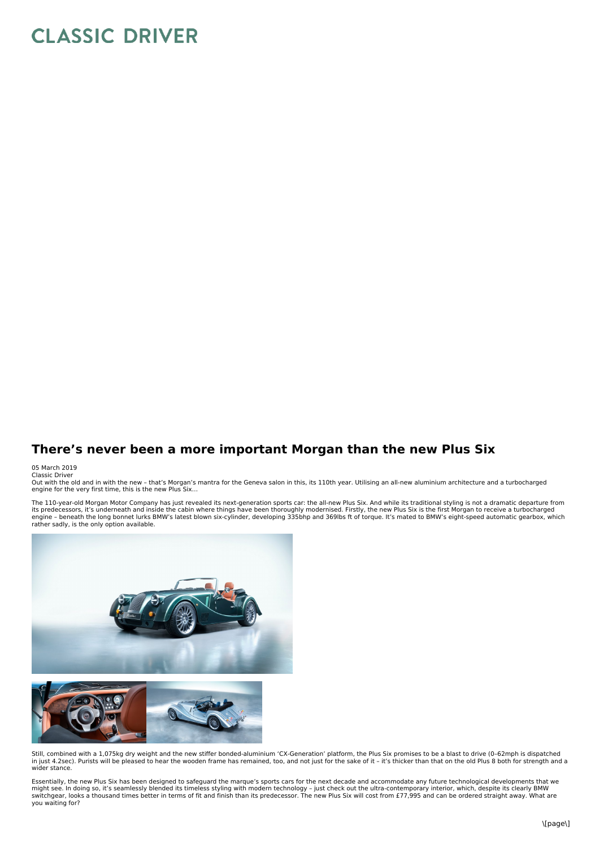## **CLASSIC DRIVER**

## **There's never been a more important Morgan than the new Plus Six**

## 05 March 2019 Classic Driver

Out with the old and in with the new - that's Morgan's mantra for the Geneva salon in this, its 110th year. Utilising an all-new aluminium architecture and a turbocharged<br>engine for the very first time, this is the new Plu

The 110-year-old Morgan Motor Company has just revealed its next-generation sports car: the all-new Plus Six. And while its traditional styling is not a dramatic departure from<br>its predecessors, it's underneath and inside rather sadly, is the only option available.



Still, combined with a 1,075kg dry weight and the new stiffer bonded-aluminium 'CX-Generation' platform, the Plus Six promises to be a blast to drive (0–62mph is dispatched in just 4.2sec). Purists will be pleased to hear the wooden frame has remained, too, and not just for the sake of it – it's thicker than that on the old Plus 8 both for strength and a wider stance.

Essentially, the new Plus Six has been designed to safeguard the marque's sports cars for the next decade and accommodate any future technological developments that we<br>might see. In doing so, it's seamlessly blended its ti